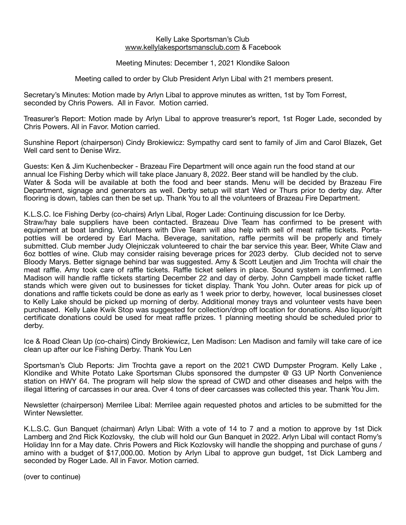## Kelly Lake Sportsman's Club [www.kellylakesportsmansclub.com](http://www.kellylakesportsmansclub.com) & Facebook

## Meeting Minutes: December 1, 2021 Klondike Saloon

Meeting called to order by Club President Arlyn Libal with 21 members present.

Secretary's Minutes: Motion made by Arlyn Libal to approve minutes as written, 1st by Tom Forrest, seconded by Chris Powers. All in Favor. Motion carried.

Treasurer's Report: Motion made by Arlyn Libal to approve treasurer's report, 1st Roger Lade, seconded by Chris Powers. All in Favor. Motion carried.

Sunshine Report (chairperson) Cindy Brokiewicz: Sympathy card sent to family of Jim and Carol Blazek, Get Well card sent to Denise Wirz.

Guests: Ken & Jim Kuchenbecker - Brazeau Fire Department will once again run the food stand at our annual Ice Fishing Derby which will take place January 8, 2022. Beer stand will be handled by the club. Water & Soda will be available at both the food and beer stands. Menu will be decided by Brazeau Fire Department, signage and generators as well. Derby setup will start Wed or Thurs prior to derby day. After flooring is down, tables can then be set up. Thank You to all the volunteers of Brazeau Fire Department.

K.L.S.C. Ice Fishing Derby (co-chairs) Arlyn Libal, Roger Lade: Continuing discussion for Ice Derby.

Straw/hay bale suppliers have been contacted. Brazeau Dive Team has confirmed to be present with equipment at boat landing. Volunteers with Dive Team will also help with sell of meat raffle tickets. Portapotties will be ordered by Earl Macha. Beverage, sanitation, raffle permits will be properly and timely submitted. Club member Judy Olejniczak volunteered to chair the bar service this year. Beer, White Claw and 6oz bottles of wine. Club may consider raising beverage prices for 2023 derby. Club decided not to serve Bloody Marys. Better signage behind bar was suggested. Amy & Scott Leutjen and Jim Trochta will chair the meat raffle. Amy took care of raffle tickets. Raffle ticket sellers in place. Sound system is confirmed. Len Madison will handle raffle tickets starting December 22 and day of derby. John Campbell made ticket raffle stands which were given out to businesses for ticket display. Thank You John. Outer areas for pick up of donations and raffle tickets could be done as early as 1 week prior to derby, however, local businesses closet to Kelly Lake should be picked up morning of derby. Additional money trays and volunteer vests have been purchased. Kelly Lake Kwik Stop was suggested for collection/drop off location for donations. Also liquor/gift certificate donations could be used for meat raffle prizes. 1 planning meeting should be scheduled prior to derby.

Ice & Road Clean Up (co-chairs) Cindy Brokiewicz, Len Madison: Len Madison and family will take care of ice clean up after our Ice Fishing Derby. Thank You Len

Sportsman's Club Reports: Jim Trochta gave a report on the 2021 CWD Dumpster Program. Kelly Lake , Klondike and White Potato Lake Sportsman Clubs sponsored the dumpster @ G3 UP North Convenience station on HWY 64. The program will help slow the spread of CWD and other diseases and helps with the illegal littering of carcasses in our area. Over 4 tons of deer carcasses was collected this year. Thank You Jim.

Newsletter (chairperson) Merrilee Libal: Merrilee again requested photos and articles to be submitted for the Winter Newsletter.

K.L.S.C. Gun Banquet (chairman) Arlyn Libal: With a vote of 14 to 7 and a motion to approve by 1st Dick Lamberg and 2nd Rick Kozlovsky, the club will hold our Gun Banquet in 2022. Arlyn Libal will contact Romy's Holiday Inn for a May date. Chris Powers and Rick Kozlovsky will handle the shopping and purchase of guns / amino with a budget of \$17,000.00. Motion by Arlyn Libal to approve gun budget, 1st Dick Lamberg and seconded by Roger Lade. All in Favor. Motion carried.

(over to continue)